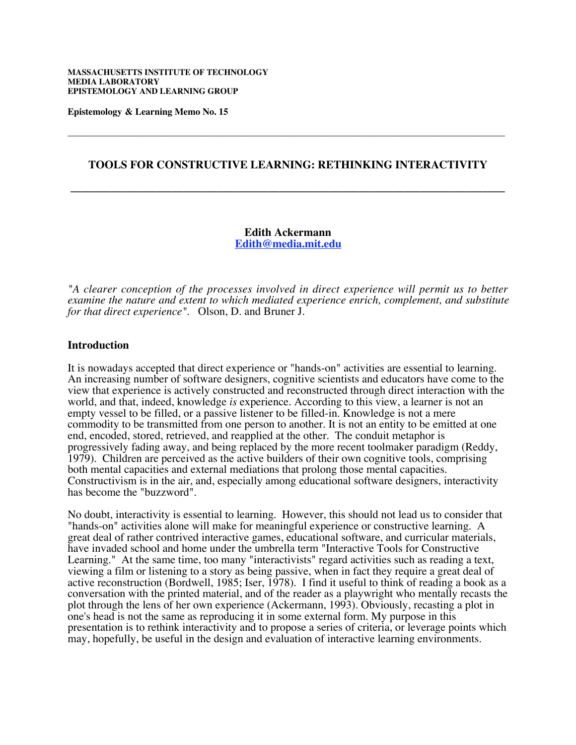#### **MASSACHUSETTS INSTITUTE OF TECHNOLOGY MEDIA LABORATORY EPISTEMOLOGY AND LEARNING GROUP**

**Epistemology & Learning Memo No. 15**

## **TOOLS FOR CONSTRUCTIVE LEARNING: RETHINKING INTERACTIVITY**

**\_\_\_\_\_\_\_\_\_\_\_\_\_\_\_\_\_\_\_\_\_\_\_\_\_\_\_\_\_\_\_\_\_\_\_\_\_\_\_\_\_\_\_\_\_\_\_\_\_\_\_\_\_\_\_\_\_\_\_\_\_\_\_\_\_\_\_\_\_\_\_\_\_\_\_\_\_**

\_\_\_\_\_\_\_\_\_\_\_\_\_\_\_\_\_\_\_\_\_\_\_\_\_\_\_\_\_\_\_\_\_\_\_\_\_\_\_\_\_\_\_\_\_\_\_\_\_\_\_\_\_\_\_\_\_\_\_\_\_\_\_\_\_\_\_\_\_\_\_\_\_\_\_\_\_\_\_\_\_\_\_\_\_\_\_\_\_\_\_\_\_

#### **Edith Ackermann Edith@media.mit.edu**

*"A clearer conception of the processes involved in direct experience will permit us to better examine the nature and extent to which mediated experience enrich, complement, and substitute for that direct experience".* Olson, D. and Bruner J.

### **Introduction**

It is nowadays accepted that direct experience or "hands-on" activities are essential to learning. An increasing number of software designers, cognitive scientists and educators have come to the view that experience is actively constructed and reconstructed through direct interaction with the world, and that, indeed, knowledge *is* experience. According to this view, a learner is not an empty vessel to be filled, or a passive listener to be filled-in. Knowledge is not a mere commodity to be transmitted from one person to another. It is not an entity to be emitted at one end, encoded, stored, retrieved, and reapplied at the other. The conduit metaphor is progressively fading away, and being replaced by the more recent toolmaker paradigm (Reddy, 1979). Children are perceived as the active builders of their own cognitive tools, comprising both mental capacities and external mediations that prolong those mental capacities. Constructivism is in the air, and, especially among educational software designers, interactivity has become the "buzzword".

No doubt, interactivity is essential to learning. However, this should not lead us to consider that "hands-on" activities alone will make for meaningful experience or constructive learning. A great deal of rather contrived interactive games, educational software, and curricular materials, have invaded school and home under the umbrella term "Interactive Tools for Constructive Learning." At the same time, too many "interactivists" regard activities such as reading a text, viewing a film or listening to a story as being passive, when in fact they require a great deal of active reconstruction (Bordwell, 1985; Iser, 1978). I find it useful to think of reading a book as a conversation with the printed material, and of the reader as a playwright who mentally recasts the plot through the lens of her own experience (Ackermann, 1993). Obviously, recasting a plot in one's head is not the same as reproducing it in some external form. My purpose in this presentation is to rethink interactivity and to propose a series of criteria, or leverage points which may, hopefully, be useful in the design and evaluation of interactive learning environments.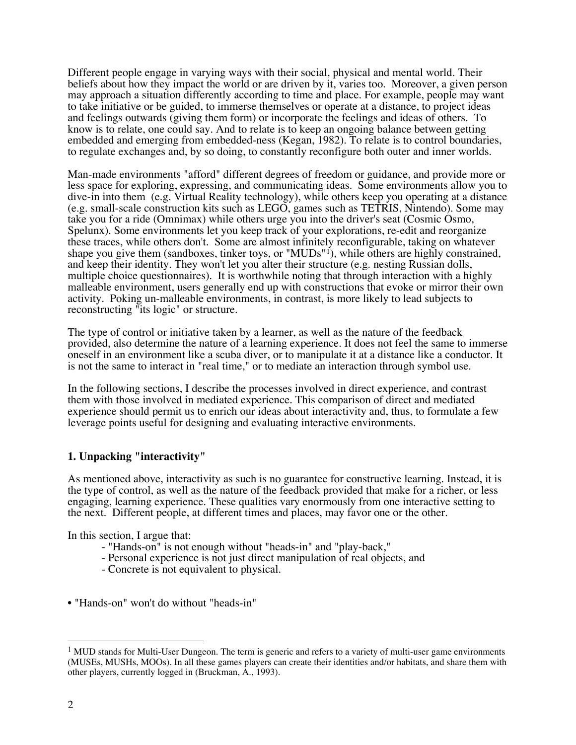Different people engage in varying ways with their social, physical and mental world. Their beliefs about how they impact the world or are driven by it, varies too. Moreover, a given person may approach a situation differently according to time and place. For example, people may want to take initiative or be guided, to immerse themselves or operate at a distance, to project ideas and feelings outwards (giving them form) or incorporate the feelings and ideas of others. To know is to relate, one could say. And to relate is to keep an ongoing balance between getting embedded and emerging from embedded-ness (Kegan, 1982). To relate is to control boundaries, to regulate exchanges and, by so doing, to constantly reconfigure both outer and inner worlds.

Man-made environments "afford" different degrees of freedom or guidance, and provide more or less space for exploring, expressing, and communicating ideas. Some environments allow you to dive-in into them (e.g. Virtual Reality technology), while others keep you operating at a distance (e.g. small-scale construction kits such as LEGO, games such as TETRIS, Nintendo). Some may take you for a ride (Omnimax) while others urge you into the driver's seat (Cosmic Osmo, Spelunx). Some environments let you keep track of your explorations, re-edit and reorganize these traces, while others don't. Some are almost infinitely reconfigurable, taking on whatever shape you give them (sandboxes, tinker toys, or "MUDs"1), while others are highly constrained, and keep their identity. They won't let you alter their structure (e.g. nesting Russian dolls, multiple choice questionnaires). It is worthwhile noting that through interaction with a highly malleable environment, users generally end up with constructions that evoke or mirror their own activity. Poking un-malleable environments, in contrast, is more likely to lead subjects to reconstructing "its logic" or structure.

The type of control or initiative taken by a learner, as well as the nature of the feedback provided, also determine the nature of a learning experience. It does not feel the same to immerse oneself in an environment like a scuba diver, or to manipulate it at a distance like a conductor. It is not the same to interact in "real time," or to mediate an interaction through symbol use.

In the following sections, I describe the processes involved in direct experience, and contrast them with those involved in mediated experience. This comparison of direct and mediated experience should permit us to enrich our ideas about interactivity and, thus, to formulate a few leverage points useful for designing and evaluating interactive environments.

# **1. Unpacking "interactivity"**

As mentioned above, interactivity as such is no guarantee for constructive learning. Instead, it is the type of control, as well as the nature of the feedback provided that make for a richer, or less engaging, learning experience. These qualities vary enormously from one interactive setting to the next. Different people, at different times and places, may favor one or the other.

In this section, I argue that:

- "Hands-on" is not enough without "heads-in" and "play-back,"
- Personal experience is not just direct manipulation of real objects, and
- Concrete is not equivalent to physical.
- "Hands-on" won't do without "heads-in"

 $\overline{a}$  $<sup>1</sup>$  MUD stands for Multi-User Dungeon. The term is generic and refers to a variety of multi-user game environments</sup> (MUSEs, MUSHs, MOOs). In all these games players can create their identities and/or habitats, and share them with other players, currently logged in (Bruckman, A., 1993).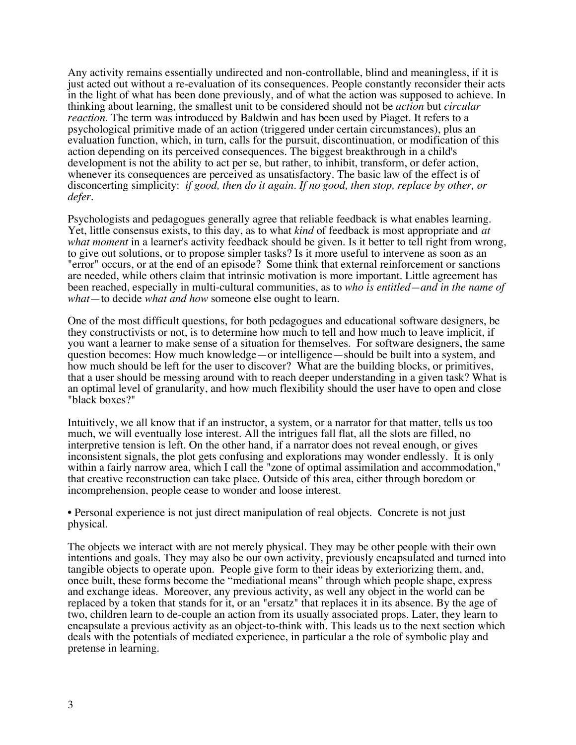Any activity remains essentially undirected and non-controllable, blind and meaningless, if it is just acted out without a re-evaluation of its consequences. People constantly reconsider their acts in the light of what has been done previously, and of what the action was supposed to achieve. In thinking about learning, the smallest unit to be considered should not be *action* but *circular reaction.* The term was introduced by Baldwin and has been used by Piaget. It refers to a psychological primitive made of an action (triggered under certain circumstances), plus an evaluation function, which, in turn, calls for the pursuit, discontinuation, or modification of this action depending on its perceived consequences. The biggest breakthrough in a child's development is not the ability to act per se, but rather, to inhibit, transform, or defer action, whenever its consequences are perceived as unsatisfactory. The basic law of the effect is of disconcerting simplicity: *if good, then do it again. If no good, then stop, replace by other, or defer.*

Psychologists and pedagogues generally agree that reliable feedback is what enables learning. Yet, little consensus exists, to this day, as to what *kind* of feedback is most appropriate and *at what moment* in a learner's activity feedback should be given. Is it better to tell right from wrong, to give out solutions, or to propose simpler tasks? Is it more useful to intervene as soon as an "error" occurs, or at the end of an episode? Some think that external reinforcement or sanctions are needed, while others claim that intrinsic motivation is more important. Little agreement has been reached, especially in multi-cultural communities, as to *who is entitled—and in the name of what*—to decide *what and how* someone else ought to learn.

One of the most difficult questions, for both pedagogues and educational software designers, be they constructivists or not, is to determine how much to tell and how much to leave implicit, if you want a learner to make sense of a situation for themselves. For software designers, the same question becomes: How much knowledge—or intelligence—should be built into a system, and how much should be left for the user to discover? What are the building blocks, or primitives, that a user should be messing around with to reach deeper understanding in a given task? What is an optimal level of granularity, and how much flexibility should the user have to open and close "black boxes?"

Intuitively, we all know that if an instructor, a system, or a narrator for that matter, tells us too much, we will eventually lose interest. All the intrigues fall flat, all the slots are filled, no interpretive tension is left. On the other hand, if a narrator does not reveal enough, or gives inconsistent signals, the plot gets confusing and explorations may wonder endlessly. It is only within a fairly narrow area, which I call the "zone of optimal assimilation and accommodation," that creative reconstruction can take place. Outside of this area, either through boredom or incomprehension, people cease to wonder and loose interest.

• Personal experience is not just direct manipulation of real objects. Concrete is not just physical.

The objects we interact with are not merely physical. They may be other people with their own intentions and goals. They may also be our own activity, previously encapsulated and turned into tangible objects to operate upon. People give form to their ideas by exteriorizing them, and, once built, these forms become the "mediational means" through which people shape, express and exchange ideas. Moreover, any previous activity, as well any object in the world can be replaced by a token that stands for it, or an "ersatz" that replaces it in its absence. By the age of two, children learn to de-couple an action from its usually associated props. Later, they learn to encapsulate a previous activity as an object-to-think with. This leads us to the next section which deals with the potentials of mediated experience, in particular a the role of symbolic play and pretense in learning.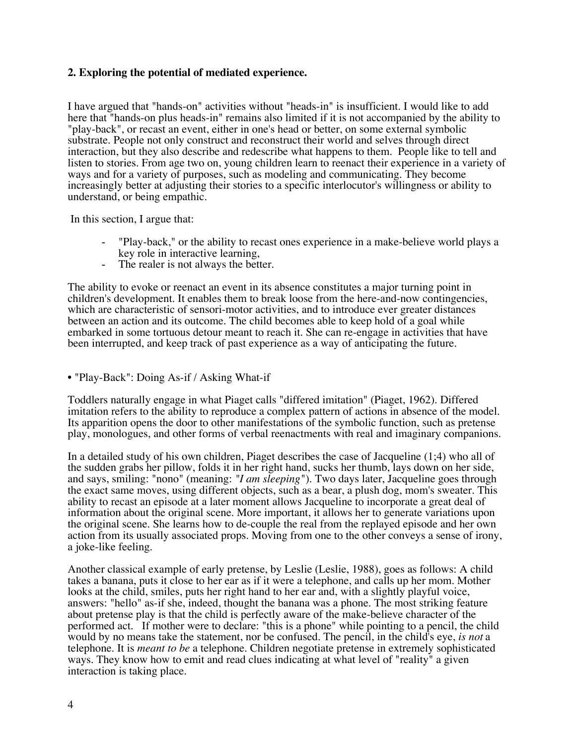# **2. Exploring the potential of mediated experience.**

I have argued that "hands-on" activities without "heads-in" is insufficient. I would like to add here that "hands-on plus heads-in" remains also limited if it is not accompanied by the ability to "play-back", or recast an event, either in one's head or better, on some external symbolic substrate. People not only construct and reconstruct their world and selves through direct interaction, but they also describe and redescribe what happens to them. People like to tell and listen to stories. From age two on, young children learn to reenact their experience in a variety of ways and for a variety of purposes, such as modeling and communicating. They become increasingly better at adjusting their stories to a specific interlocutor's willingness or ability to understand, or being empathic.

In this section, I argue that:

- "Play-back," or the ability to recast ones experience in a make-believe world plays a key role in interactive learning,
- The realer is not always the better.

The ability to evoke or reenact an event in its absence constitutes a major turning point in children's development. It enables them to break loose from the here-and-now contingencies, which are characteristic of sensori-motor activities, and to introduce ever greater distances between an action and its outcome. The child becomes able to keep hold of a goal while embarked in some tortuous detour meant to reach it. She can re-engage in activities that have been interrupted, and keep track of past experience as a way of anticipating the future.

• "Play-Back": Doing As-if / Asking What-if

Toddlers naturally engage in what Piaget calls "differed imitation" (Piaget, 1962). Differed imitation refers to the ability to reproduce a complex pattern of actions in absence of the model. Its apparition opens the door to other manifestations of the symbolic function, such as pretense play, monologues, and other forms of verbal reenactments with real and imaginary companions.

In a detailed study of his own children, Piaget describes the case of Jacqueline (1;4) who all of the sudden grabs her pillow, folds it in her right hand, sucks her thumb, lays down on her side, and says, smiling: "nono" (meaning: *"I am sleeping*"). Two days later, Jacqueline goes through the exact same moves, using different objects, such as a bear, a plush dog, mom's sweater. This ability to recast an episode at a later moment allows Jacqueline to incorporate a great deal of information about the original scene. More important, it allows her to generate variations upon the original scene. She learns how to de-couple the real from the replayed episode and her own action from its usually associated props. Moving from one to the other conveys a sense of irony, a joke-like feeling.

Another classical example of early pretense, by Leslie (Leslie, 1988), goes as follows: A child takes a banana, puts it close to her ear as if it were a telephone, and calls up her mom. Mother looks at the child, smiles, puts her right hand to her ear and, with a slightly playful voice, answers: "hello" as-if she, indeed, thought the banana was a phone. The most striking feature about pretense play is that the child is perfectly aware of the make-believe character of the performed act. If mother were to declare: "this is a phone" while pointing to a pencil, the child would by no means take the statement, nor be confused. The pencil, in the child's eye, *is not* a telephone. It is *meant to be* a telephone. Children negotiate pretense in extremely sophisticated ways. They know how to emit and read clues indicating at what level of "reality" a given interaction is taking place.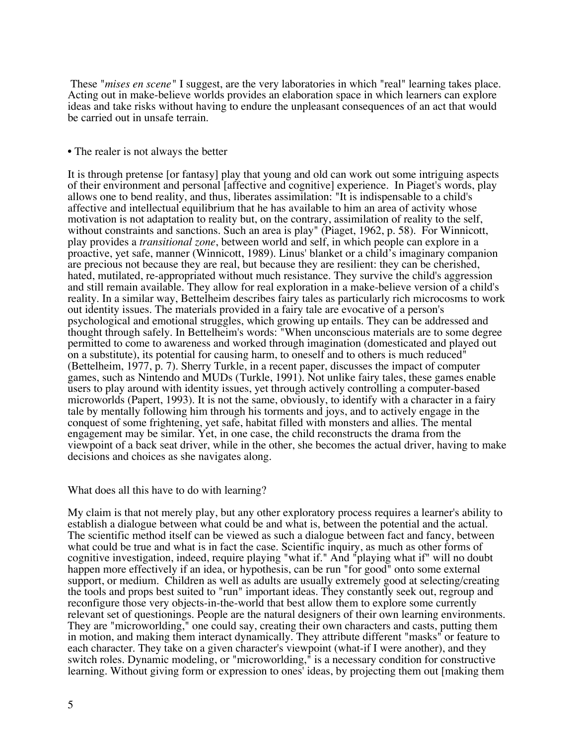These "*mises en scene*" I suggest, are the very laboratories in which "real" learning takes place. Acting out in make-believe worlds provides an elaboration space in which learners can explore ideas and take risks without having to endure the unpleasant consequences of an act that would be carried out in unsafe terrain.

### • The realer is not always the better

It is through pretense [or fantasy] play that young and old can work out some intriguing aspects of their environment and personal [affective and cognitive] experience. In Piaget's words, play allows one to bend reality, and thus, liberates assimilation: "It is indispensable to a child's affective and intellectual equilibrium that he has available to him an area of activity whose motivation is not adaptation to reality but, on the contrary, assimilation of reality to the self, without constraints and sanctions. Such an area is play" (Piaget, 1962, p. 58). For Winnicott, play provides a *transitional zone*, between world and self, in which people can explore in a proactive, yet safe, manner (Winnicott, 1989). Linus' blanket or a child's imaginary companion are precious not because they are real, but because they are resilient: they can be cherished, hated, mutilated, re-appropriated without much resistance. They survive the child's aggression and still remain available. They allow for real exploration in a make-believe version of a child's reality. In a similar way, Bettelheim describes fairy tales as particularly rich microcosms to work out identity issues. The materials provided in a fairy tale are evocative of a person's psychological and emotional struggles, which growing up entails. They can be addressed and thought through safely. In Bettelheim's words: "When unconscious materials are to some degree permitted to come to awareness and worked through imagination (domesticated and played out on a substitute), its potential for causing harm, to oneself and to others is much reduced" (Bettelheim, 1977, p. 7). Sherry Turkle, in a recent paper, discusses the impact of computer games, such as Nintendo and MUDs (Turkle, 1991). Not unlike fairy tales, these games enable users to play around with identity issues, yet through actively controlling a computer-based microworlds (Papert, 1993). It is not the same, obviously, to identify with a character in a fairy tale by mentally following him through his torments and joys, and to actively engage in the conquest of some frightening, yet safe, habitat filled with monsters and allies. The mental engagement may be similar. Yet, in one case, the child reconstructs the drama from the viewpoint of a back seat driver, while in the other, she becomes the actual driver, having to make decisions and choices as she navigates along.

## What does all this have to do with learning?

My claim is that not merely play, but any other exploratory process requires a learner's ability to establish a dialogue between what could be and what is, between the potential and the actual. The scientific method itself can be viewed as such a dialogue between fact and fancy, between what could be true and what is in fact the case. Scientific inquiry, as much as other forms of cognitive investigation, indeed, require playing "what if." And "playing what if" will no doubt happen more effectively if an idea, or hypothesis, can be run "for good" onto some external support, or medium. Children as well as adults are usually extremely good at selecting/creating the tools and props best suited to "run" important ideas. They constantly seek out, regroup and reconfigure those very objects-in-the-world that best allow them to explore some currently relevant set of questionings. People are the natural designers of their own learning environments. They are "microworlding," one could say, creating their own characters and casts, putting them in motion, and making them interact dynamically. They attribute different "masks" or feature to each character. They take on a given character's viewpoint (what-if I were another), and they switch roles. Dynamic modeling, or "microworlding," is a necessary condition for constructive learning. Without giving form or expression to ones' ideas, by projecting them out [making them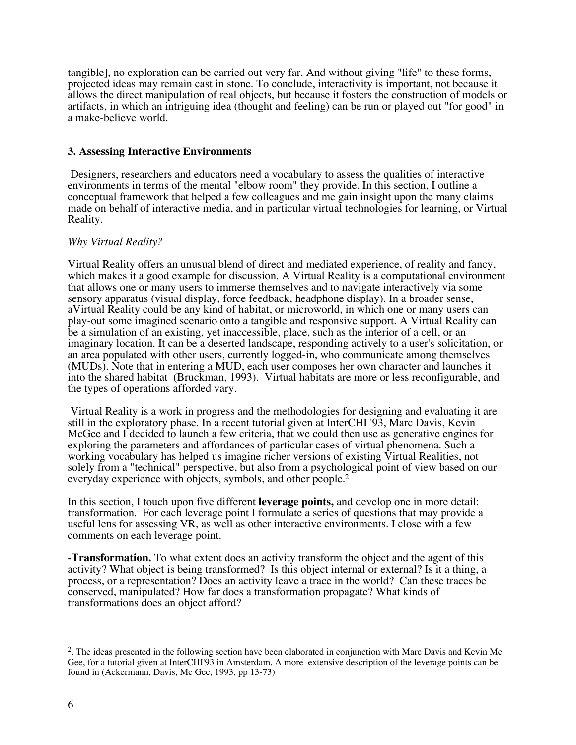tangible], no exploration can be carried out very far. And without giving "life" to these forms, projected ideas may remain cast in stone. To conclude, interactivity is important, not because it allows the direct manipulation of real objects, but because it fosters the construction of models or artifacts, in which an intriguing idea (thought and feeling) can be run or played out "for good" in a make-believe world.

## **3. Assessing Interactive Environments**

 Designers, researchers and educators need a vocabulary to assess the qualities of interactive environments in terms of the mental "elbow room" they provide. In this section, I outline a conceptual framework that helped a few colleagues and me gain insight upon the many claims made on behalf of interactive media, and in particular virtual technologies for learning, or Virtual Reality.

## *Why Virtual Reality?*

Virtual Reality offers an unusual blend of direct and mediated experience, of reality and fancy, which makes it a good example for discussion. A Virtual Reality is a computational environment that allows one or many users to immerse themselves and to navigate interactively via some sensory apparatus (visual display, force feedback, headphone display). In a broader sense, aVirtual Reality could be any kind of habitat, or microworld, in which one or many users can play-out some imagined scenario onto a tangible and responsive support. A Virtual Reality can be a simulation of an existing, yet inaccessible, place, such as the interior of a cell, or an imaginary location. It can be a deserted landscape, responding actively to a user's solicitation, or an area populated with other users, currently logged-in, who communicate among themselves (MUDs). Note that in entering a MUD, each user composes her own character and launches it into the shared habitat (Bruckman, 1993). Virtual habitats are more or less reconfigurable, and the types of operations afforded vary.

 Virtual Reality is a work in progress and the methodologies for designing and evaluating it are still in the exploratory phase. In a recent tutorial given at InterCHI '93, Marc Davis, Kevin McGee and I decided to launch a few criteria, that we could then use as generative engines for exploring the parameters and affordances of particular cases of virtual phenomena. Such a working vocabulary has helped us imagine richer versions of existing Virtual Realities, not solely from a "technical" perspective, but also from a psychological point of view based on our everyday experience with objects, symbols, and other people.2

In this section, I touch upon five different **leverage points,** and develop one in more detail: transformation. For each leverage point I formulate a series of questions that may provide a useful lens for assessing VR, as well as other interactive environments. I close with a few comments on each leverage point.

**-Transformation.** To what extent does an activity transform the object and the agent of this activity? What object is being transformed? Is this object internal or external? Is it a thing, a process, or a representation? Does an activity leave a trace in the world? Can these traces be conserved, manipulated? How far does a transformation propagate? What kinds of transformations does an object afford?

 $\overline{a}$ 2. The ideas presented in the following section have been elaborated in conjunction with Marc Davis and Kevin Mc Gee, for a tutorial given at InterCHI'93 in Amsterdam. A more extensive description of the leverage points can be found in (Ackermann, Davis, Mc Gee, 1993, pp 13-73)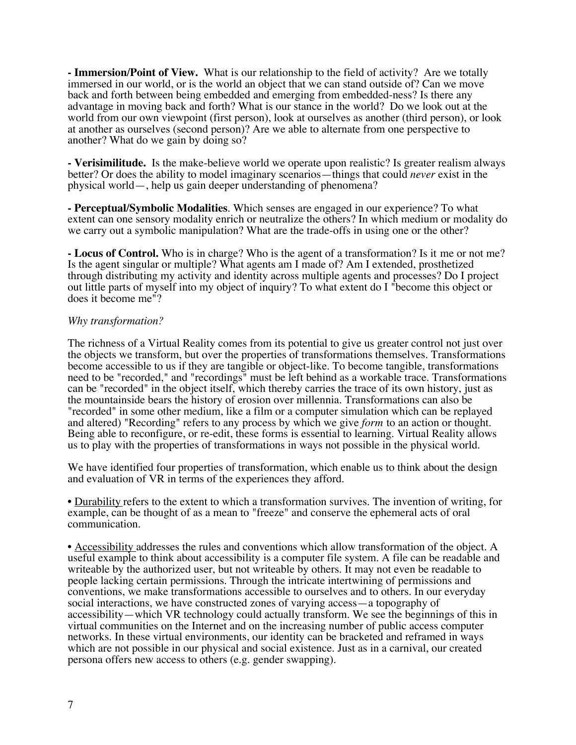**- Immersion/Point of View.** What is our relationship to the field of activity? Are we totally immersed in our world, or is the world an object that we can stand outside of? Can we move back and forth between being embedded and emerging from embedded-ness? Is there any advantage in moving back and forth? What is our stance in the world? Do we look out at the world from our own viewpoint (first person), look at ourselves as another (third person), or look at another as ourselves (second person)? Are we able to alternate from one perspective to another? What do we gain by doing so?

**- Verisimilitude.** Is the make-believe world we operate upon realistic? Is greater realism always better? Or does the ability to model imaginary scenarios—things that could *never* exist in the physical world—, help us gain deeper understanding of phenomena?

**- Perceptual/Symbolic Modalities**. Which senses are engaged in our experience? To what extent can one sensory modality enrich or neutralize the others? In which medium or modality do we carry out a symbolic manipulation? What are the trade-offs in using one or the other?

**- Locus of Control.** Who is in charge? Who is the agent of a transformation? Is it me or not me? Is the agent singular or multiple? What agents am I made of? Am I extended, prosthetized through distributing my activity and identity across multiple agents and processes? Do I project out little parts of myself into my object of inquiry? To what extent do I "become this object or does it become me"?

## *Why transformation?*

The richness of a Virtual Reality comes from its potential to give us greater control not just over the objects we transform, but over the properties of transformations themselves. Transformations become accessible to us if they are tangible or object-like. To become tangible, transformations need to be "recorded," and "recordings" must be left behind as a workable trace. Transformations can be "recorded" in the object itself, which thereby carries the trace of its own history, just as the mountainside bears the history of erosion over millennia. Transformations can also be "recorded" in some other medium, like a film or a computer simulation which can be replayed and altered) "Recording" refers to any process by which we give *form* to an action or thought. Being able to reconfigure, or re-edit, these forms is essential to learning. Virtual Reality allows us to play with the properties of transformations in ways not possible in the physical world.

We have identified four properties of transformation, which enable us to think about the design and evaluation of VR in terms of the experiences they afford.

• Durability refers to the extent to which a transformation survives. The invention of writing, for example, can be thought of as a mean to "freeze" and conserve the ephemeral acts of oral communication.

• Accessibility addresses the rules and conventions which allow transformation of the object. A useful example to think about accessibility is a computer file system. A file can be readable and writeable by the authorized user, but not writeable by others. It may not even be readable to people lacking certain permissions. Through the intricate intertwining of permissions and conventions, we make transformations accessible to ourselves and to others. In our everyday social interactions, we have constructed zones of varying access—a topography of accessibility—which VR technology could actually transform. We see the beginnings of this in virtual communities on the Internet and on the increasing number of public access computer networks. In these virtual environments, our identity can be bracketed and reframed in ways which are not possible in our physical and social existence. Just as in a carnival, our created persona offers new access to others (e.g. gender swapping).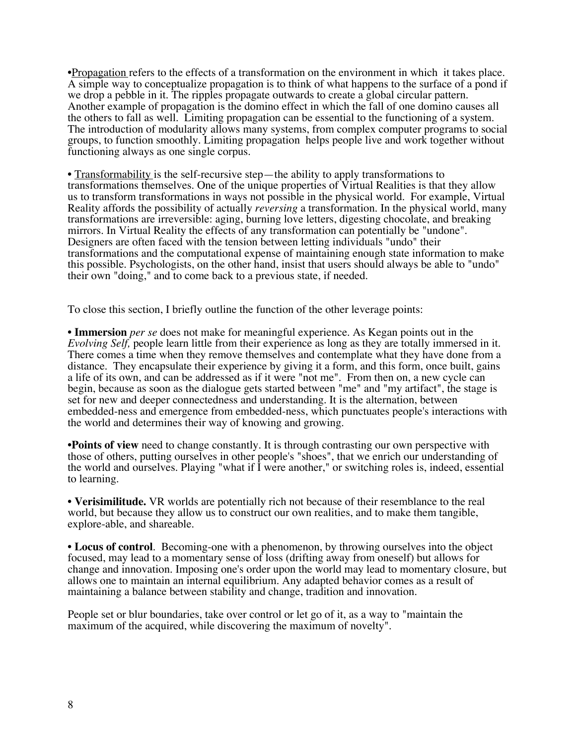•Propagation refers to the effects of a transformation on the environment in which it takes place. A simple way to conceptualize propagation is to think of what happens to the surface of a pond if we drop a pebble in it. The ripples propagate outwards to create a global circular pattern. Another example of propagation is the domino effect in which the fall of one domino causes all the others to fall as well. Limiting propagation can be essential to the functioning of a system. The introduction of modularity allows many systems, from complex computer programs to social groups, to function smoothly. Limiting propagation helps people live and work together without functioning always as one single corpus.

• Transformability is the self-recursive step—the ability to apply transformations to transformations themselves. One of the unique properties of Virtual Realities is that they allow us to transform transformations in ways not possible in the physical world. For example, Virtual Reality affords the possibility of actually *reversing* a transformation. In the physical world, many transformations are irreversible: aging, burning love letters, digesting chocolate, and breaking mirrors. In Virtual Reality the effects of any transformation can potentially be "undone". Designers are often faced with the tension between letting individuals "undo" their transformations and the computational expense of maintaining enough state information to make this possible. Psychologists, on the other hand, insist that users should always be able to "undo" their own "doing," and to come back to a previous state, if needed.

To close this section, I briefly outline the function of the other leverage points:

• **Immersion** *per se* does not make for meaningful experience. As Kegan points out in the *Evolving Self,* people learn little from their experience as long as they are totally immersed in it. There comes a time when they remove themselves and contemplate what they have done from a distance. They encapsulate their experience by giving it a form, and this form, once built, gains a life of its own, and can be addressed as if it were "not me". From then on, a new cycle can begin, because as soon as the dialogue gets started between "me" and "my artifact", the stage is set for new and deeper connectedness and understanding. It is the alternation, between embedded-ness and emergence from embedded-ness, which punctuates people's interactions with the world and determines their way of knowing and growing.

•**Points of view** need to change constantly. It is through contrasting our own perspective with those of others, putting ourselves in other people's "shoes", that we enrich our understanding of the world and ourselves. Playing "what if I were another," or switching roles is, indeed, essential to learning.

• **Verisimilitude.** VR worlds are potentially rich not because of their resemblance to the real world, but because they allow us to construct our own realities, and to make them tangible, explore-able, and shareable.

• **Locus of control**. Becoming-one with a phenomenon, by throwing ourselves into the object focused, may lead to a momentary sense of loss (drifting away from oneself) but allows for change and innovation. Imposing one's order upon the world may lead to momentary closure, but allows one to maintain an internal equilibrium. Any adapted behavior comes as a result of maintaining a balance between stability and change, tradition and innovation.

People set or blur boundaries, take over control or let go of it, as a way to "maintain the maximum of the acquired, while discovering the maximum of novelty".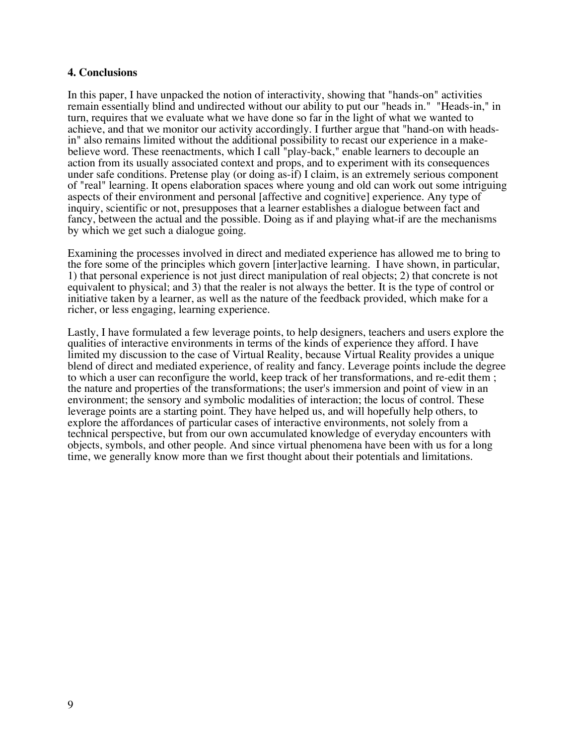## **4. Conclusions**

In this paper, I have unpacked the notion of interactivity, showing that "hands-on" activities remain essentially blind and undirected without our ability to put our "heads in." "Heads-in," in turn, requires that we evaluate what we have done so far in the light of what we wanted to achieve, and that we monitor our activity accordingly. I further argue that "hand-on with headsin" also remains limited without the additional possibility to recast our experience in a makebelieve word. These reenactments, which I call "play-back," enable learners to decouple an action from its usually associated context and props, and to experiment with its consequences under safe conditions. Pretense play (or doing as-if) I claim, is an extremely serious component of "real" learning. It opens elaboration spaces where young and old can work out some intriguing aspects of their environment and personal [affective and cognitive] experience. Any type of inquiry, scientific or not, presupposes that a learner establishes a dialogue between fact and fancy, between the actual and the possible. Doing as if and playing what-if are the mechanisms by which we get such a dialogue going.

Examining the processes involved in direct and mediated experience has allowed me to bring to the fore some of the principles which govern [inter]active learning. I have shown, in particular, 1) that personal experience is not just direct manipulation of real objects; 2) that concrete is not equivalent to physical; and 3) that the realer is not always the better. It is the type of control or initiative taken by a learner, as well as the nature of the feedback provided, which make for a richer, or less engaging, learning experience.

Lastly, I have formulated a few leverage points, to help designers, teachers and users explore the qualities of interactive environments in terms of the kinds of experience they afford. I have limited my discussion to the case of Virtual Reality, because Virtual Reality provides a unique blend of direct and mediated experience, of reality and fancy. Leverage points include the degree to which a user can reconfigure the world, keep track of her transformations, and re-edit them ; the nature and properties of the transformations; the user's immersion and point of view in an environment; the sensory and symbolic modalities of interaction; the locus of control. These leverage points are a starting point. They have helped us, and will hopefully help others, to explore the affordances of particular cases of interactive environments, not solely from a technical perspective, but from our own accumulated knowledge of everyday encounters with objects, symbols, and other people. And since virtual phenomena have been with us for a long time, we generally know more than we first thought about their potentials and limitations.